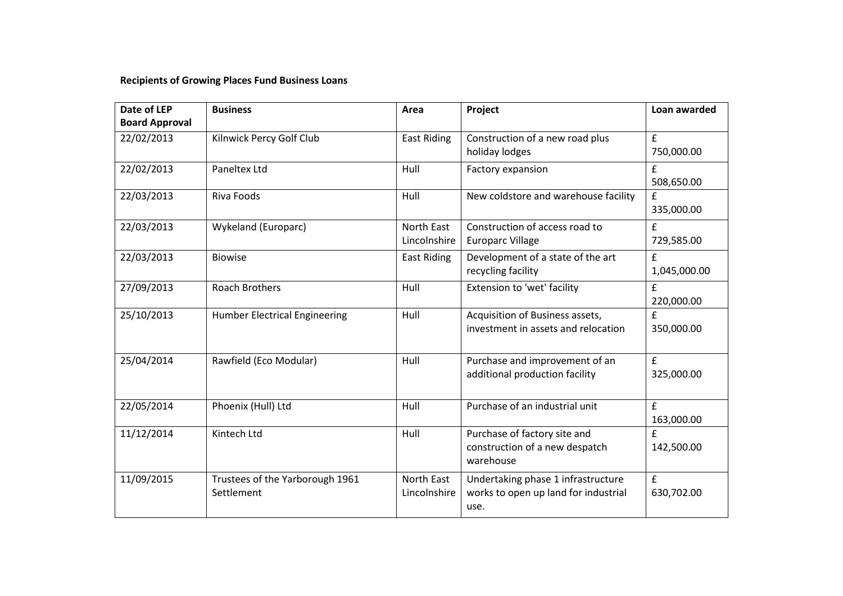## **Recipients of Growing Places Fund Business Loans**

| Date of LEP           | <b>Business</b>                               | Area                       | Project                                                                            | Loan awarded              |
|-----------------------|-----------------------------------------------|----------------------------|------------------------------------------------------------------------------------|---------------------------|
| <b>Board Approval</b> |                                               |                            |                                                                                    |                           |
| 22/02/2013            | Kilnwick Percy Golf Club                      | <b>East Riding</b>         | Construction of a new road plus<br>holiday lodges                                  | $\mathbf f$<br>750,000.00 |
| 22/02/2013            | <b>Paneltex Ltd</b>                           | Hull                       | Factory expansion                                                                  | £<br>508,650.00           |
| 22/03/2013            | Riva Foods                                    | Hull                       | New coldstore and warehouse facility                                               | £<br>335,000.00           |
| 22/03/2013            | Wykeland (Europarc)                           | North East<br>Lincolnshire | Construction of access road to<br><b>Europarc Village</b>                          | £<br>729,585.00           |
| 22/03/2013            | <b>Biowise</b>                                | <b>East Riding</b>         | Development of a state of the art<br>recycling facility                            | £<br>1,045,000.00         |
| 27/09/2013            | <b>Roach Brothers</b>                         | Hull                       | Extension to 'wet' facility                                                        | £<br>220,000.00           |
| 25/10/2013            | <b>Humber Electrical Engineering</b>          | Hull                       | Acquisition of Business assets,<br>investment in assets and relocation             | £<br>350,000.00           |
| 25/04/2014            | Rawfield (Eco Modular)                        | Hull                       | Purchase and improvement of an<br>additional production facility                   | $\mathbf f$<br>325,000.00 |
| 22/05/2014            | Phoenix (Hull) Ltd                            | Hull                       | Purchase of an industrial unit                                                     | £<br>163,000.00           |
| 11/12/2014            | Kintech Ltd                                   | Hull                       | Purchase of factory site and<br>construction of a new despatch<br>warehouse        | £<br>142,500.00           |
| 11/09/2015            | Trustees of the Yarborough 1961<br>Settlement | North East<br>Lincolnshire | Undertaking phase 1 infrastructure<br>works to open up land for industrial<br>use. | $\mathbf f$<br>630,702.00 |